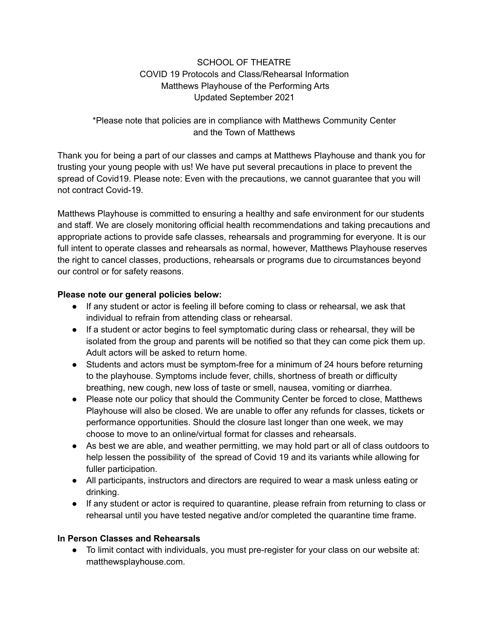# SCHOOL OF THEATRE COVID 19 Protocols and Class/Rehearsal Information Matthews Playhouse of the Performing Arts Updated September 2021

## \*Please note that policies are in compliance with Matthews Community Center and the Town of Matthews

Thank you for being a part of our classes and camps at Matthews Playhouse and thank you for trusting your young people with us! We have put several precautions in place to prevent the spread of Covid19. Please note: Even with the precautions, we cannot guarantee that you will not contract Covid-19.

Matthews Playhouse is committed to ensuring a healthy and safe environment for our students and staff. We are closely monitoring official health recommendations and taking precautions and appropriate actions to provide safe classes, rehearsals and programming for everyone. It is our full intent to operate classes and rehearsals as normal, however, Matthews Playhouse reserves the right to cancel classes, productions, rehearsals or programs due to circumstances beyond our control or for safety reasons.

## **Please note our general policies below:**

- If any student or actor is feeling ill before coming to class or rehearsal, we ask that individual to refrain from attending class or rehearsal.
- If a student or actor begins to feel symptomatic during class or rehearsal, they will be isolated from the group and parents will be notified so that they can come pick them up. Adult actors will be asked to return home.
- Students and actors must be symptom-free for a minimum of 24 hours before returning to the playhouse. Symptoms include fever, chills, shortness of breath or difficulty breathing, new cough, new loss of taste or smell, nausea, vomiting or diarrhea.
- Please note our policy that should the Community Center be forced to close, Matthews Playhouse will also be closed. We are unable to offer any refunds for classes, tickets or performance opportunities. Should the closure last longer than one week, we may choose to move to an online/virtual format for classes and rehearsals.
- As best we are able, and weather permitting, we may hold part or all of class outdoors to help lessen the possibility of the spread of Covid 19 and its variants while allowing for fuller participation.
- All participants, instructors and directors are required to wear a mask unless eating or drinking.
- If any student or actor is required to quarantine, please refrain from returning to class or rehearsal until you have tested negative and/or completed the quarantine time frame.

## **In Person Classes and Rehearsals**

● To limit contact with individuals, you must pre-register for your class on our website at: matthewsplayhouse.com.